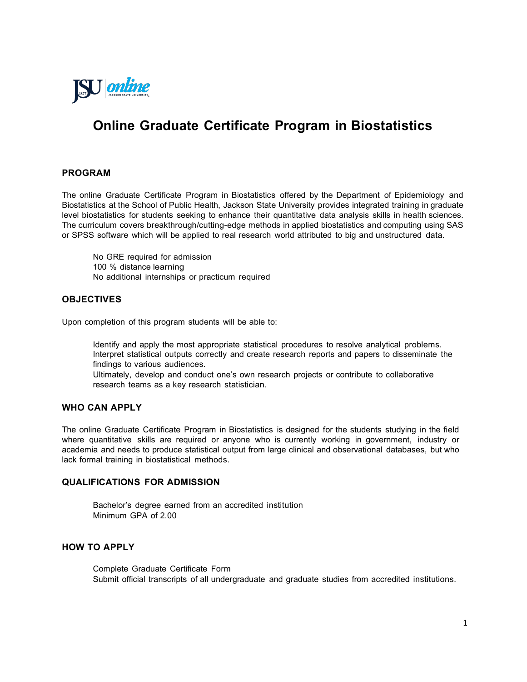

# **Online Graduate Certificate Program in Biostatistics**

# **PROGRAM**

The online Graduate Certificate Program in Biostatistics offered by the Department of Epidemiology and Biostatistics at the School of Public Health, Jackson State University provides integrated training in graduate level biostatistics for students seeking to enhance their quantitative data analysis skills in health sciences. The curriculum covers breakthrough/cutting-edge methods in applied biostatistics and computing using SAS or SPSS software which will be applied to real research world attributed to big and unstructured data.

No GRE required for admission 100 % distance learning No additional internships or practicum required

# **OBJECTIVES**

Upon completion of this program students will be able to:

 Identify and apply the most appropriate statistical procedures to resolve analytical problems. Interpret statistical outputs correctly and create research reports and papers to disseminate the findings to various audiences.

 Ultimately, develop and conduct one's own research projects or contribute to collaborative research teams as a key research statistician.

### **WHO CAN APPLY**

The online Graduate Certificate Program in Biostatistics is designed for the students studying in the field where quantitative skills are required or anyone who is currently working in government, industry or academia and needs to produce statistical output from large clinical and observational databases, but who lack formal training in biostatistical methods.

#### **QUALIFICATIONS FOR ADMISSION**

 Bachelor's degree earned from an accredited institution Minimum GPA of 2.00

# **HOW TO APPLY**

 Complete Graduate Certificate Form Submit official transcripts of all undergraduate and graduate studies from accredited institutions.